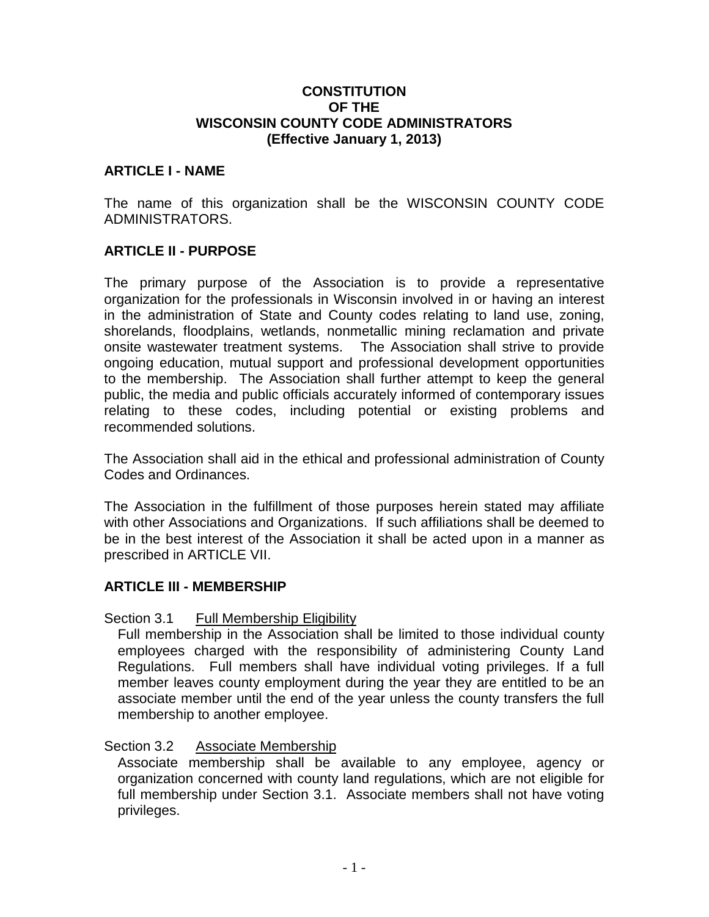#### **CONSTITUTION OF THE WISCONSIN COUNTY CODE ADMINISTRATORS (Effective January 1, 2013)**

#### **ARTICLE I - NAME**

The name of this organization shall be the WISCONSIN COUNTY CODE ADMINISTRATORS.

### **ARTICLE II - PURPOSE**

The primary purpose of the Association is to provide a representative organization for the professionals in Wisconsin involved in or having an interest in the administration of State and County codes relating to land use, zoning, shorelands, floodplains, wetlands, nonmetallic mining reclamation and private onsite wastewater treatment systems. The Association shall strive to provide ongoing education, mutual support and professional development opportunities to the membership. The Association shall further attempt to keep the general public, the media and public officials accurately informed of contemporary issues relating to these codes, including potential or existing problems and recommended solutions.

The Association shall aid in the ethical and professional administration of County Codes and Ordinances.

The Association in the fulfillment of those purposes herein stated may affiliate with other Associations and Organizations. If such affiliations shall be deemed to be in the best interest of the Association it shall be acted upon in a manner as prescribed in ARTICLE VII.

#### **ARTICLE III - MEMBERSHIP**

#### Section 3.1 Full Membership Eligibility

Full membership in the Association shall be limited to those individual county employees charged with the responsibility of administering County Land Regulations. Full members shall have individual voting privileges. If a full member leaves county employment during the year they are entitled to be an associate member until the end of the year unless the county transfers the full membership to another employee.

#### Section 3.2 Associate Membership

Associate membership shall be available to any employee, agency or organization concerned with county land regulations, which are not eligible for full membership under Section 3.1. Associate members shall not have voting privileges.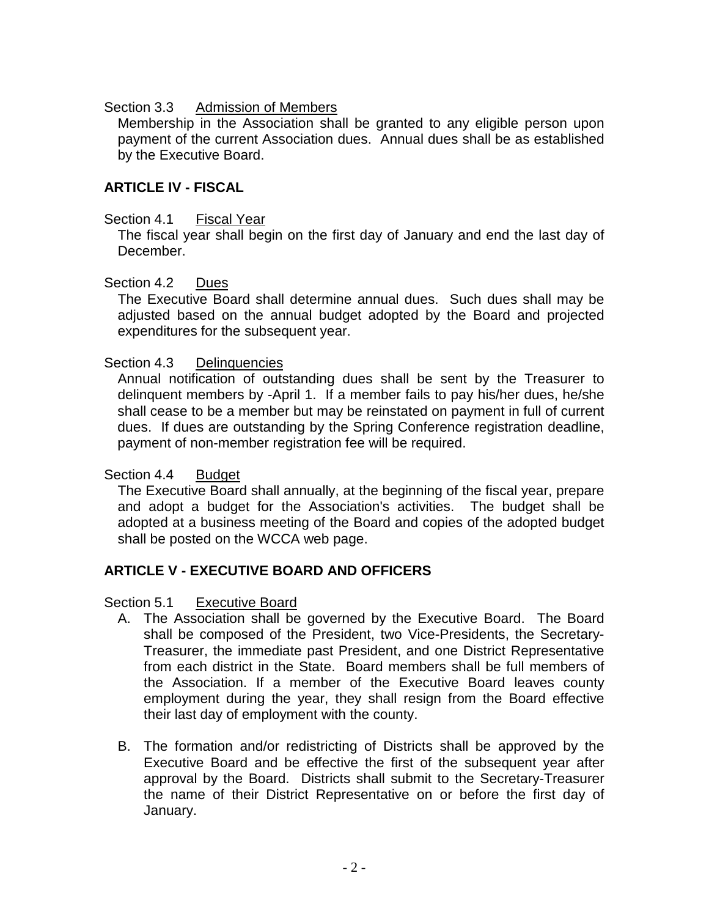## Section 3.3 Admission of Members

Membership in the Association shall be granted to any eligible person upon payment of the current Association dues. Annual dues shall be as established by the Executive Board.

# **ARTICLE IV - FISCAL**

## Section 4.1 Fiscal Year

The fiscal year shall begin on the first day of January and end the last day of December.

## Section 4.2 Dues

The Executive Board shall determine annual dues. Such dues shall may be adjusted based on the annual budget adopted by the Board and projected expenditures for the subsequent year.

## Section 4.3 Delinquencies

Annual notification of outstanding dues shall be sent by the Treasurer to delinquent members by -April 1. If a member fails to pay his/her dues, he/she shall cease to be a member but may be reinstated on payment in full of current dues. If dues are outstanding by the Spring Conference registration deadline, payment of non-member registration fee will be required.

### Section 4.4 Budget

The Executive Board shall annually, at the beginning of the fiscal year, prepare and adopt a budget for the Association's activities. The budget shall be adopted at a business meeting of the Board and copies of the adopted budget shall be posted on the WCCA web page.

# **ARTICLE V - EXECUTIVE BOARD AND OFFICERS**

### Section 5.1 Executive Board

- A. The Association shall be governed by the Executive Board. The Board shall be composed of the President, two Vice-Presidents, the Secretary-Treasurer, the immediate past President, and one District Representative from each district in the State. Board members shall be full members of the Association. If a member of the Executive Board leaves county employment during the year, they shall resign from the Board effective their last day of employment with the county.
- B. The formation and/or redistricting of Districts shall be approved by the Executive Board and be effective the first of the subsequent year after approval by the Board. Districts shall submit to the Secretary-Treasurer the name of their District Representative on or before the first day of January.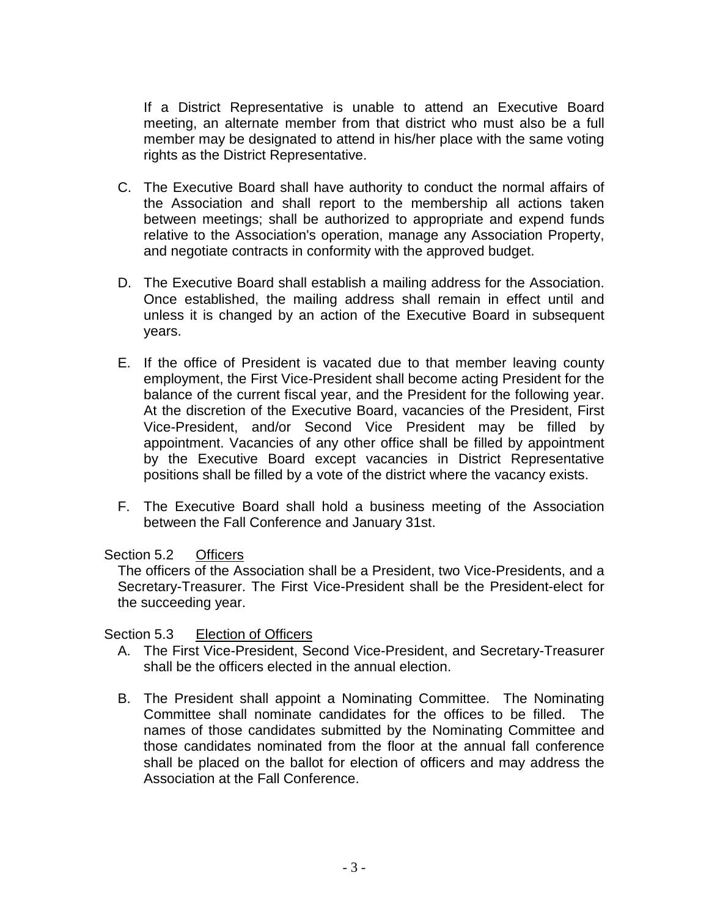If a District Representative is unable to attend an Executive Board meeting, an alternate member from that district who must also be a full member may be designated to attend in his/her place with the same voting rights as the District Representative.

- C. The Executive Board shall have authority to conduct the normal affairs of the Association and shall report to the membership all actions taken between meetings; shall be authorized to appropriate and expend funds relative to the Association's operation, manage any Association Property, and negotiate contracts in conformity with the approved budget.
- D. The Executive Board shall establish a mailing address for the Association. Once established, the mailing address shall remain in effect until and unless it is changed by an action of the Executive Board in subsequent years.
- E. If the office of President is vacated due to that member leaving county employment, the First Vice-President shall become acting President for the balance of the current fiscal year, and the President for the following year. At the discretion of the Executive Board, vacancies of the President, First Vice-President, and/or Second Vice President may be filled by appointment. Vacancies of any other office shall be filled by appointment by the Executive Board except vacancies in District Representative positions shall be filled by a vote of the district where the vacancy exists.
- F. The Executive Board shall hold a business meeting of the Association between the Fall Conference and January 31st.

### Section 5.2 Officers

The officers of the Association shall be a President, two Vice-Presidents, and a Secretary-Treasurer. The First Vice-President shall be the President-elect for the succeeding year.

### Section 5.3 Election of Officers

- A. The First Vice-President, Second Vice-President, and Secretary-Treasurer shall be the officers elected in the annual election.
- B. The President shall appoint a Nominating Committee. The Nominating Committee shall nominate candidates for the offices to be filled. The names of those candidates submitted by the Nominating Committee and those candidates nominated from the floor at the annual fall conference shall be placed on the ballot for election of officers and may address the Association at the Fall Conference.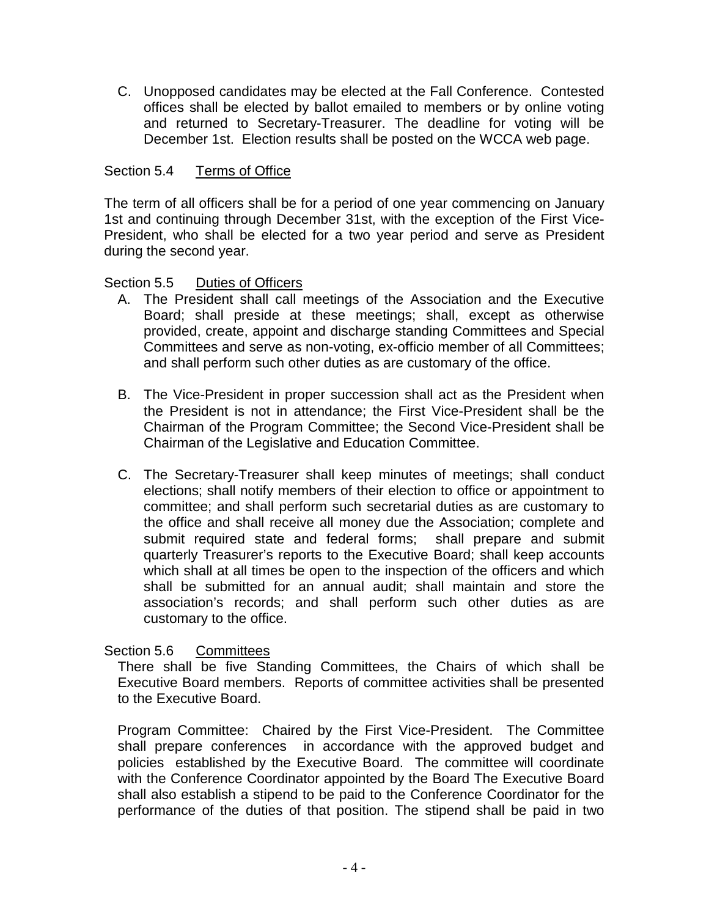C. Unopposed candidates may be elected at the Fall Conference. Contested offices shall be elected by ballot emailed to members or by online voting and returned to Secretary-Treasurer. The deadline for voting will be December 1st. Election results shall be posted on the WCCA web page.

## Section 5.4 Terms of Office

The term of all officers shall be for a period of one year commencing on January 1st and continuing through December 31st, with the exception of the First Vice-President, who shall be elected for a two year period and serve as President during the second year.

#### Section 5.5 Duties of Officers

- A. The President shall call meetings of the Association and the Executive Board; shall preside at these meetings; shall, except as otherwise provided, create, appoint and discharge standing Committees and Special Committees and serve as non-voting, ex-officio member of all Committees; and shall perform such other duties as are customary of the office.
- B. The Vice-President in proper succession shall act as the President when the President is not in attendance; the First Vice-President shall be the Chairman of the Program Committee; the Second Vice-President shall be Chairman of the Legislative and Education Committee.
- C. The Secretary-Treasurer shall keep minutes of meetings; shall conduct elections; shall notify members of their election to office or appointment to committee; and shall perform such secretarial duties as are customary to the office and shall receive all money due the Association; complete and submit required state and federal forms; shall prepare and submit quarterly Treasurer's reports to the Executive Board; shall keep accounts which shall at all times be open to the inspection of the officers and which shall be submitted for an annual audit; shall maintain and store the association's records; and shall perform such other duties as are customary to the office.

Section 5.6 Committees

There shall be five Standing Committees, the Chairs of which shall be Executive Board members. Reports of committee activities shall be presented to the Executive Board.

Program Committee: Chaired by the First Vice-President. The Committee shall prepare conferences in accordance with the approved budget and policies established by the Executive Board. The committee will coordinate with the Conference Coordinator appointed by the Board The Executive Board shall also establish a stipend to be paid to the Conference Coordinator for the performance of the duties of that position. The stipend shall be paid in two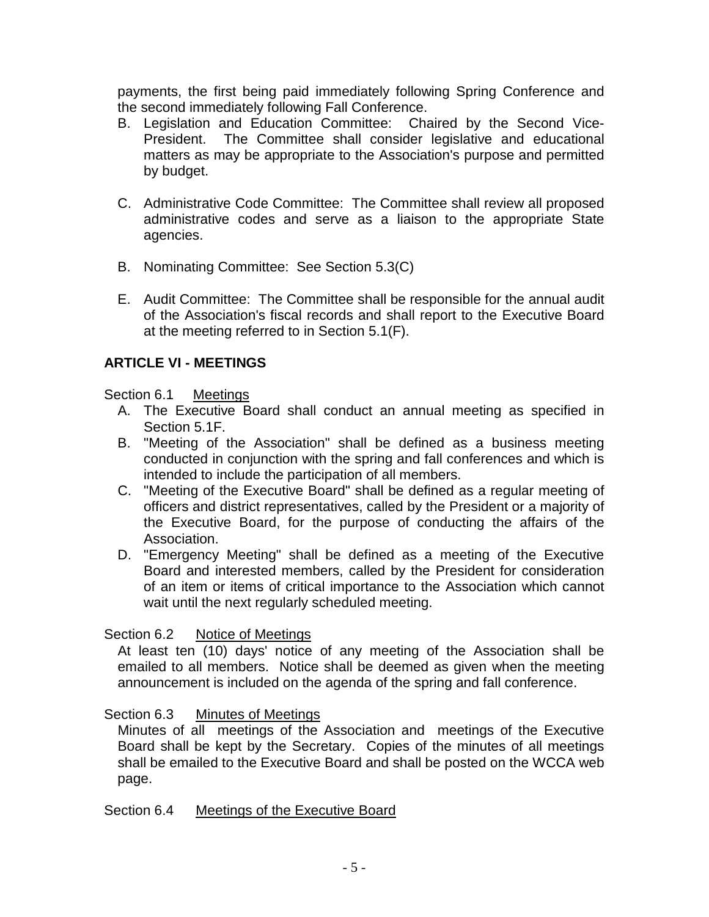payments, the first being paid immediately following Spring Conference and the second immediately following Fall Conference.

- B. Legislation and Education Committee: Chaired by the Second Vice-President. The Committee shall consider legislative and educational matters as may be appropriate to the Association's purpose and permitted by budget.
- C. Administrative Code Committee: The Committee shall review all proposed administrative codes and serve as a liaison to the appropriate State agencies.
- B. Nominating Committee: See Section 5.3(C)
- E. Audit Committee: The Committee shall be responsible for the annual audit of the Association's fiscal records and shall report to the Executive Board at the meeting referred to in Section 5.1(F).

# **ARTICLE VI - MEETINGS**

### Section 6.1 Meetings

- A. The Executive Board shall conduct an annual meeting as specified in Section 5.1F.
- B. "Meeting of the Association" shall be defined as a business meeting conducted in conjunction with the spring and fall conferences and which is intended to include the participation of all members.
- C. "Meeting of the Executive Board" shall be defined as a regular meeting of officers and district representatives, called by the President or a majority of the Executive Board, for the purpose of conducting the affairs of the Association.
- D. "Emergency Meeting" shall be defined as a meeting of the Executive Board and interested members, called by the President for consideration of an item or items of critical importance to the Association which cannot wait until the next regularly scheduled meeting.

### Section 6.2 Notice of Meetings

At least ten (10) days' notice of any meeting of the Association shall be emailed to all members. Notice shall be deemed as given when the meeting announcement is included on the agenda of the spring and fall conference.

### Section 6.3 Minutes of Meetings

Minutes of all meetings of the Association and meetings of the Executive Board shall be kept by the Secretary. Copies of the minutes of all meetings shall be emailed to the Executive Board and shall be posted on the WCCA web page.

### Section 6.4 Meetings of the Executive Board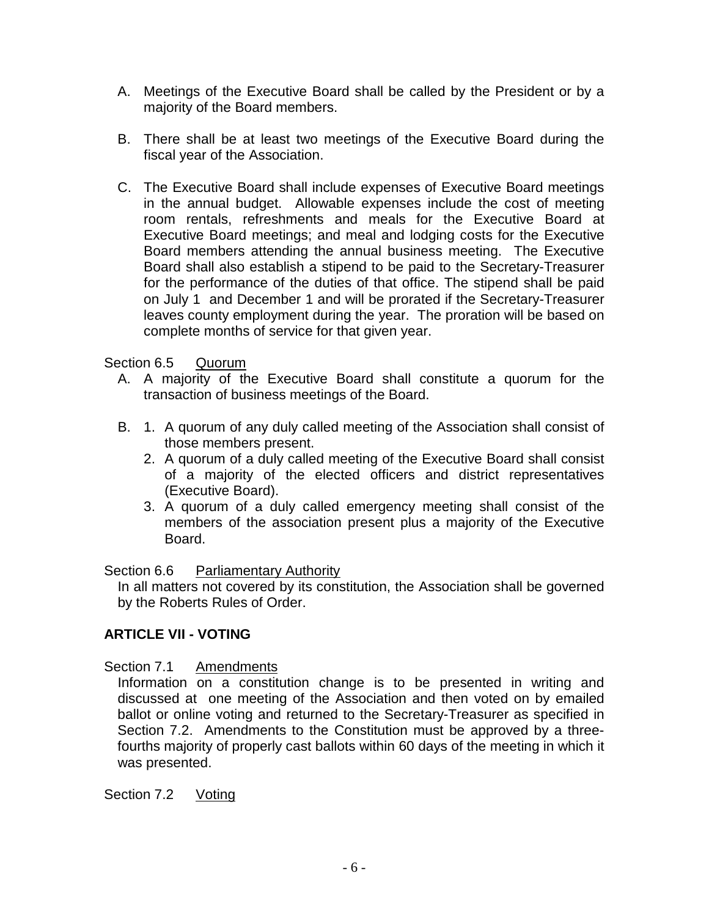- A. Meetings of the Executive Board shall be called by the President or by a majority of the Board members.
- B. There shall be at least two meetings of the Executive Board during the fiscal year of the Association.
- C. The Executive Board shall include expenses of Executive Board meetings in the annual budget. Allowable expenses include the cost of meeting room rentals, refreshments and meals for the Executive Board at Executive Board meetings; and meal and lodging costs for the Executive Board members attending the annual business meeting. The Executive Board shall also establish a stipend to be paid to the Secretary-Treasurer for the performance of the duties of that office. The stipend shall be paid on July 1 and December 1 and will be prorated if the Secretary-Treasurer leaves county employment during the year. The proration will be based on complete months of service for that given year.

## Section 6.5 Quorum

- A. A majority of the Executive Board shall constitute a quorum for the transaction of business meetings of the Board.
- B. 1. A quorum of any duly called meeting of the Association shall consist of those members present.
	- 2. A quorum of a duly called meeting of the Executive Board shall consist of a majority of the elected officers and district representatives (Executive Board).
	- 3. A quorum of a duly called emergency meeting shall consist of the members of the association present plus a majority of the Executive Board.

Section 6.6 Parliamentary Authority

In all matters not covered by its constitution, the Association shall be governed by the Roberts Rules of Order.

### **ARTICLE VII - VOTING**

Section 7.1 Amendments

Information on a constitution change is to be presented in writing and discussed at one meeting of the Association and then voted on by emailed ballot or online voting and returned to the Secretary-Treasurer as specified in Section 7.2. Amendments to the Constitution must be approved by a threefourths majority of properly cast ballots within 60 days of the meeting in which it was presented.

Section 7.2 Voting